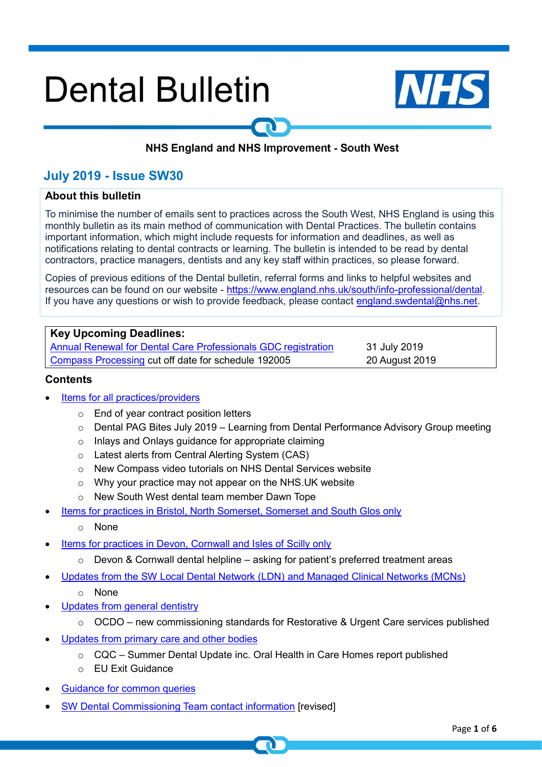# **Dental Bulletin**



# NHS England and NHS Improvement - South West

# **July 2019 - Issue SW30**

# **About this bulletin**

To minimise the number of emails sent to practices across the South West, NHS England is using this monthly bulletin as its main method of communication with Dental Practices. The bulletin contains important information, which might include requests for information and deadlines, as well as notifications relating to dental contracts or learning. The bulletin is intended to be read by dental contractors, practice managers, dentists and any key staff within practices, so please forward.

Copies of previous editions of the Dental bulletin, referral forms and links to helpful websites and resources can be found on our website - [https://www.england.nhs.uk/south/info-professional/dental.](https://www.england.nhs.uk/south/info-professional/dental/dcis/forms/) If you have any questions or wish to provide feedback, please contact [england.swdental@nhs.net.](mailto:england.swdental@nhs.net)

#### **Key Upcoming Deadlines:**

Annual Renewal for [Dental Care Professionals](https://www.gdc-uk.org/professionals/annual-renewal) GDC registration 31 July 2019 [Compass Processing](https://www.nhsbsa.nhs.uk/activity-processing-and-payment-services/pay-statements-and-schedules) cut off date for schedule 192005 20 August 2019

#### <span id="page-0-0"></span>**Contents**

- [Items for all practices/providers](#page-1-0)
	- o End of year contract position letters
	- $\circ$  Dental PAG Bites July 2019 Learning from Dental Performance Advisory Group meeting
	- o Inlays and Onlays guidance for appropriate claiming
	- o Latest alerts from Central Alerting System (CAS)
	- o New Compass video tutorials on NHS Dental Services website
	- o Why your practice may not appear on the NHS.UK website
	- o New South West dental team member Dawn Tope
- [Items for practices in Bristol, North Somerset, Somerset and South Glos only](#page-3-0)
	- o None
- [Items for practices in Devon, Cornwall and Isles of Scilly only](#page-3-1)
	- $\circ$  Devon & Cornwall dental helpline asking for patient's preferred treatment areas
- [Updates from the SW Local Dental Network \(LDN\)](#page-3-2) and Managed Clinical Networks (MCNs)
	- o None
- [Updates from general dentistry](#page-3-3)
	- o OCDO new commissioning standards for Restorative & Urgent Care services published
- Updates from primary [care and other bodies](#page-4-0)
	- $\circ$  CQC Summer Dental Update inc. Oral Health in Care Homes report published
	- o EU Exit Guidance
- Guidance for [common queries](#page-5-0)
- [SW Dental Commissioning Team contact information](#page-5-1) [revised]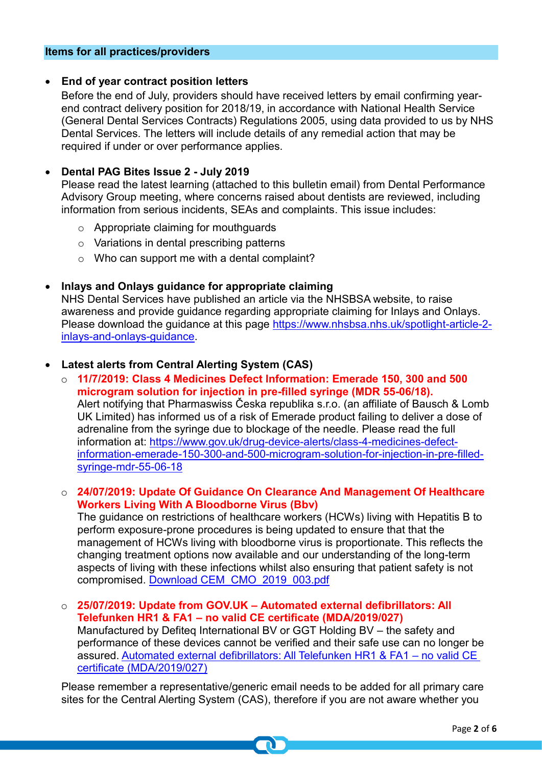#### <span id="page-1-0"></span>**Items for all practices/providers**

#### • **End of year contract position letters**

Before the end of July, providers should have received letters by email confirming yearend contract delivery position for 2018/19, in accordance with National Health Service (General Dental Services Contracts) Regulations 2005, using data provided to us by NHS Dental Services. The letters will include details of any remedial action that may be required if under or over performance applies.

# • **Dental PAG Bites Issue 2 - July 2019**

Please read the latest learning (attached to this bulletin email) from Dental Performance Advisory Group meeting, where concerns raised about dentists are reviewed, including information from serious incidents, SEAs and complaints. This issue includes:

- o Appropriate claiming for mouthguards
- o Variations in dental prescribing patterns
- o Who can support me with a dental complaint?

# • **Inlays and Onlays guidance for appropriate claiming**

NHS Dental Services have published an article via the NHSBSA website, to raise awareness and provide guidance regarding appropriate claiming for Inlays and Onlays. Please download the guidance at this page [https://www.nhsbsa.nhs.uk/spotlight-article-2](https://www.nhsbsa.nhs.uk/spotlight-article-2-inlays-and-onlays-guidance) [inlays-and-onlays-guidance.](https://www.nhsbsa.nhs.uk/spotlight-article-2-inlays-and-onlays-guidance)

# • **Latest alerts from Central Alerting System (CAS)**

o **11/7/2019: Class 4 Medicines Defect Information: Emerade 150, 300 and 500 microgram solution for injection in pre-filled syringe (MDR 55-06/18).**  Alert notifying that Pharmaswiss Česka republika s.r.o. (an affiliate of Bausch & Lomb UK Limited) has informed us of a risk of Emerade product failing to deliver a dose of adrenaline from the syringe due to blockage of the needle. Please read the full information at: [https://www.gov.uk/drug-device-alerts/class-4-medicines-defect](https://www.gov.uk/drug-device-alerts/class-4-medicines-defect-information-emerade-150-300-and-500-microgram-solution-for-injection-in-pre-filled-syringe-mdr-55-06-18)[information-emerade-150-300-and-500-microgram-solution-for-injection-in-pre-filled](https://www.gov.uk/drug-device-alerts/class-4-medicines-defect-information-emerade-150-300-and-500-microgram-solution-for-injection-in-pre-filled-syringe-mdr-55-06-18)[syringe-mdr-55-06-18](https://www.gov.uk/drug-device-alerts/class-4-medicines-defect-information-emerade-150-300-and-500-microgram-solution-for-injection-in-pre-filled-syringe-mdr-55-06-18)

# o **24/07/2019: Update Of Guidance On Clearance And Management Of Healthcare Workers Living With A Bloodborne Virus (Bbv)**

The guidance on restrictions of healthcare workers (HCWs) living with Hepatitis B to perform exposure-prone procedures is being updated to ensure that that the management of HCWs living with bloodborne virus is proportionate. This reflects the changing treatment options now available and our understanding of the long-term aspects of living with these infections whilst also ensuring that patient safety is not compromised. [Download CEM\\_CMO\\_2019\\_003.pdf](file://///ims.gov.uk/data/Users/GBBULVD/BULHOME4/SBTroake/Downloads/CEM_CMO_2019_003.pdf)

o **25/07/2019: Update from GOV.UK – Automated external defibrillators: All Telefunken HR1 & FA1 – no valid CE certificate (MDA/2019/027)** Manufactured by Defiteq International BV or GGT Holding BV – the safety and performance of these devices cannot be verified and their safe use can no longer be assured. [Automated external defibrillators: All Telefunken HR1 & FA1 –](https://www.gov.uk/drug-device-alerts/automated-external-defibrillators-all-telefunken-hr1-fa1-no-valid-ce-certificate-mda-2019-027?utm_source=6a3bdf56-1f23-4b40-9109-0cdd06a05426&utm_medium=email&utm_campaign=govuk-notifications&utm_content=immediate) no valid CE [certificate \(MDA/2019/027\)](https://www.gov.uk/drug-device-alerts/automated-external-defibrillators-all-telefunken-hr1-fa1-no-valid-ce-certificate-mda-2019-027?utm_source=6a3bdf56-1f23-4b40-9109-0cdd06a05426&utm_medium=email&utm_campaign=govuk-notifications&utm_content=immediate)

Please remember a representative/generic email needs to be added for all primary care sites for the Central Alerting System (CAS), therefore if you are not aware whether you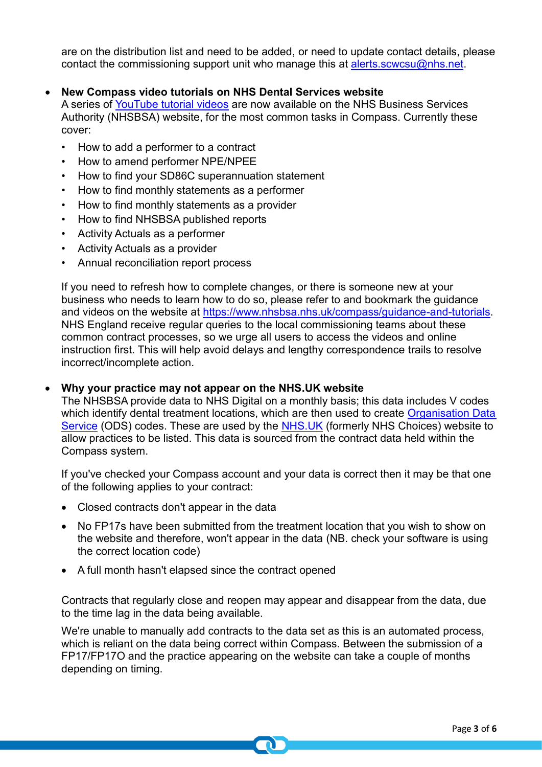are on the distribution list and need to be added, or need to update contact details, please contact the commissioning support unit who manage this at [alerts.scwcsu@nhs.net.](mailto:alerts.scwcsu@nhs.net)

# • **New Compass video tutorials on NHS Dental Services website**

A series of [YouTube tutorial videos](https://www.nhsbsa.nhs.uk/compass/guidance-and-tutorials) are now available on the NHS Business Services Authority (NHSBSA) website, for the most common tasks in Compass. Currently these cover:

- How to add a performer to a contract
- How to amend performer NPE/NPEE
- How to find your SD86C superannuation statement
- How to find monthly statements as a performer
- How to find monthly statements as a provider
- How to find NHSBSA published reports
- Activity Actuals as a performer
- Activity Actuals as a provider
- Annual reconciliation report process

If you need to refresh how to complete changes, or there is someone new at your business who needs to learn how to do so, please refer to and bookmark the guidance and videos on the website at [https://www.nhsbsa.nhs.uk/compass/guidance-and-tutorials.](https://www.nhsbsa.nhs.uk/compass/guidance-and-tutorials) NHS England receive regular queries to the local commissioning teams about these common contract processes, so we urge all users to access the videos and online instruction first. This will help avoid delays and lengthy correspondence trails to resolve incorrect/incomplete action.

#### • **Why your practice may not appear on the NHS.UK website**

The NHSBSA provide data to NHS Digital on a monthly basis; this data includes V codes which identify dental treatment locations, which are then used to create Organisation Data [Service](https://odsportal.hscic.gov.uk/) (ODS) codes. These are used by the [NHS.UK](https://www.nhs.uk/) (formerly NHS Choices) website to allow practices to be listed. This data is sourced from the contract data held within the Compass system.

If you've checked your Compass account and your data is correct then it may be that one of the following applies to your contract:

- Closed contracts don't appear in the data
- No FP17s have been submitted from the treatment location that you wish to show on the website and therefore, won't appear in the data (NB. check your software is using the correct location code)
- A full month hasn't elapsed since the contract opened

Contracts that regularly close and reopen may appear and disappear from the data, due to the time lag in the data being available.

We're unable to manually add contracts to the data set as this is an automated process, which is reliant on the data being correct within Compass. Between the submission of a FP17/FP17O and the practice appearing on the website can take a couple of months depending on timing.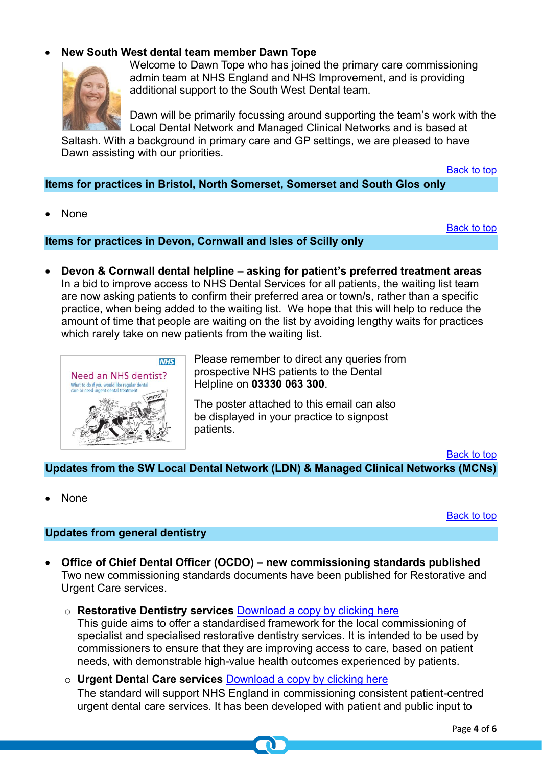# • **New South West dental team member Dawn Tope**



Welcome to Dawn Tope who has joined the primary care commissioning admin team at NHS England and NHS Improvement, and is providing additional support to the South West Dental team.

Dawn will be primarily focussing around supporting the team's work with the Local Dental Network and Managed Clinical Networks and is based at Saltash. With a background in primary care and GP settings, we are pleased to have Dawn assisting with our priorities.

[Back to top](#page-0-0)

<span id="page-3-0"></span>**Items for practices in Bristol, North Somerset, Somerset and South Glos only**

• None

[Back to top](#page-0-0)

<span id="page-3-1"></span>**Items for practices in Devon, Cornwall and Isles of Scilly only**

• **Devon & Cornwall dental helpline – asking for patient's preferred treatment areas** In a bid to improve access to NHS Dental Services for all patients, the waiting list team are now asking patients to confirm their preferred area or town/s, rather than a specific practice, when being added to the waiting list. We hope that this will help to reduce the amount of time that people are waiting on the list by avoiding lengthy waits for practices which rarely take on new patients from the waiting list.



Please remember to direct any queries from prospective NHS patients to the Dental Helpline on **03330 063 300**.

The poster attached to this email can also be displayed in your practice to signpost patients.

[Back to top](#page-0-0)

<span id="page-3-2"></span>**Updates from the SW Local Dental Network (LDN) & Managed Clinical Networks (MCNs)**

• None

[Back to top](#page-0-0)

# <span id="page-3-3"></span>**Updates from general dentistry**

- **Office of Chief Dental Officer (OCDO) – new commissioning standards published** Two new commissioning standards documents have been published for Restorative and Urgent Care services.
	- o **Restorative Dentistry services** [Download a copy by clicking here](https://www.england.nhs.uk/publication/commissioning-standard-for-restorative-dentistry/) This guide aims to offer a standardised framework for the local commissioning of specialist and specialised restorative dentistry services. It is intended to be used by commissioners to ensure that they are improving access to care, based on patient needs, with demonstrable high-value health outcomes experienced by patients.
	- o **Urgent Dental Care services** [Download a copy by clicking here](https://www.england.nhs.uk/publication/commissioning-standard-for-urgent-dental-care/) The standard will support NHS England in commissioning consistent patient-centred urgent dental care services. It has been developed with patient and public input to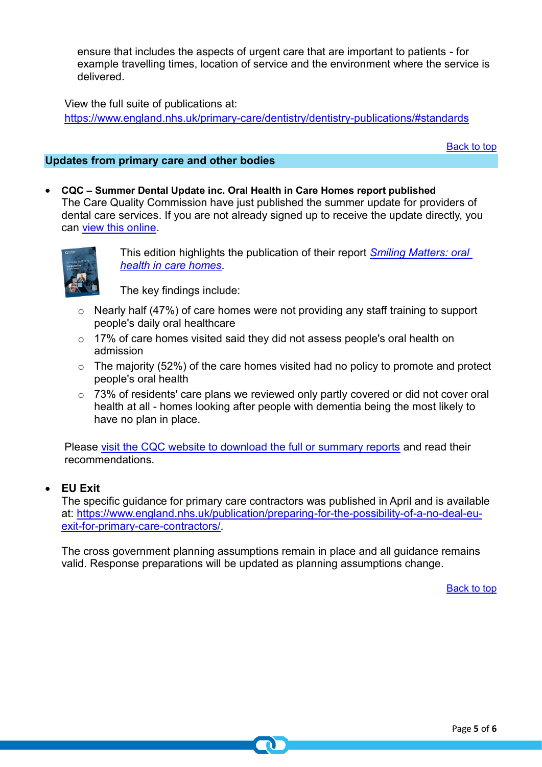ensure that includes the aspects of urgent care that are important to patients - for example travelling times, location of service and the environment where the service is delivered.

View the full suite of publications at:

<https://www.england.nhs.uk/primary-care/dentistry/dentistry-publications/#standards>

[Back to top](#page-0-0)

# <span id="page-4-0"></span>**Updates from primary care and other bodies**

• **CQC – Summer Dental Update inc. Oral Health in Care Homes report published** The Care Quality Commission have just published the summer update for providers of dental care services. If you are not already signed up to receive the update directly, you can [view this online.](https://content.govdelivery.com/accounts/UKCQC/bulletins/2501721)



This edition highlights the publication of their report *[Smiling Matters: oral](https://www.cqc.org.uk/publications/major-report/smiling-matters-oral-health-care-care-homes)  [health in care homes](https://www.cqc.org.uk/publications/major-report/smiling-matters-oral-health-care-care-homes)*.

The key findings include:

- $\circ$  Nearly half (47%) of care homes were not providing any staff training to support people's daily oral healthcare
- o 17% of care homes visited said they did not assess people's oral health on admission
- $\circ$  The majority (52%) of the care homes visited had no policy to promote and protect people's oral health
- $\circ$  73% of residents' care plans we reviewed only partly covered or did not cover oral health at all - homes looking after people with dementia being the most likely to have no plan in place.

Please [visit the CQC website to download the full or summary reports](https://www.cqc.org.uk/publications/major-report/smiling-matters-oral-health-care-care-homes) and read their recommendations.

# • **EU Exit**

The specific guidance for primary care contractors was published in April and is available at: [https://www.england.nhs.uk/publication/preparing-for-the-possibility-of-a-no-deal-eu](https://www.england.nhs.uk/publication/preparing-for-the-possibility-of-a-no-deal-eu-exit-for-primary-care-contractors/)[exit-for-primary-care-contractors/.](https://www.england.nhs.uk/publication/preparing-for-the-possibility-of-a-no-deal-eu-exit-for-primary-care-contractors/)

The cross government planning assumptions remain in place and all guidance remains valid. Response preparations will be updated as planning assumptions change.

[Back to top](#page-0-0)